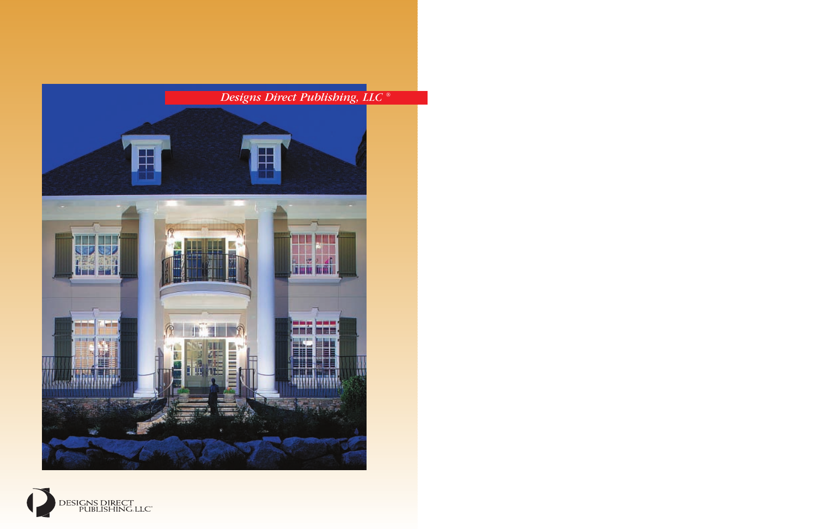# *Designs Direct Publishing, LLC ®*



DESIGNS DIRECT<br>PUBLISHING, LLC<sup>\*</sup>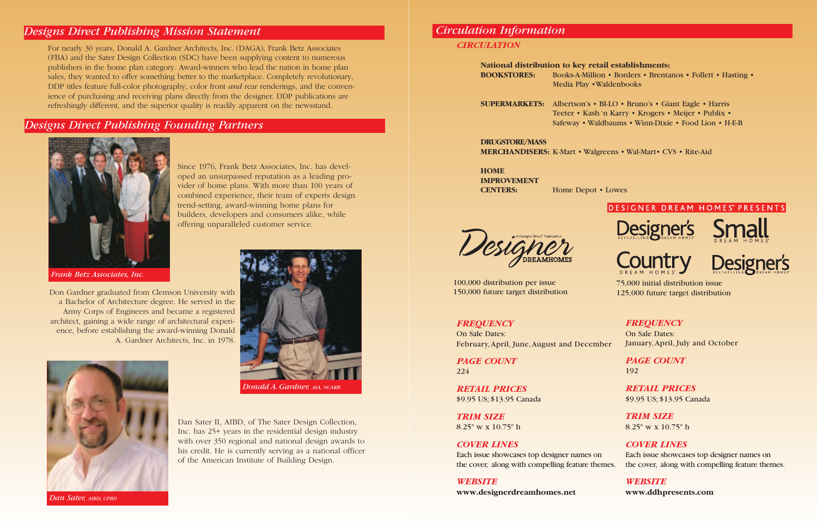*Frank Betz Associates, Inc.*

## *Circulation Information CIRCULATION*

**National distribution to key retail establishments: BOOKSTORES:** Books-A-Million • Borders • Brentanos • Follett • Hasting • Media Play •Waldenbooks

**SUPERMARKETS:** Albertson's • BI-LO • Bruno's • Giant Eagle • Harris Teeter • Kash 'n Karry • Krogers • Meijer • Publix • Safeway • Waldbaums • Winn-Dixie • Food Lion • H-E-B

**DRUGSTORE/MASS MERCHANDISERS:** K-Mart • Walgreens • Wal-Mart• CVS • Rite-Aid

**HOME IMPROVEMENT CENTERS:** Home Depot • Lowes

#### *FREQUENCY*

On Sale Dates: February,April, June,August and December

*PAGE COUNT* 224

*RETAIL PRICES* \$9.95 US; \$13.95 Canada

*TRIM SIZE* 8.25" w x 10.75" h

#### *COVER LINES*

*WEBSITE*

**www.designerdreamhomes.net**

### DESIGNER DREAM HOMES<sup>®</sup> PRESENTS









### *Designs Direct Publishing Mission Statement*

For nearly 30 years, Donald A. Gardner Architects, Inc. (DAGA), Frank Betz Associates (FBA) and the Sater Design Collection (SDC) have been supplying content to numerous publishers in the home plan category. Award-winners who lead the nation in home plan sales, they wanted to offer something better to the marketplace. Completely revolutionary, DDP titles feature full-color photography, color front *and* rear renderings, and the convenience of purchasing and receiving plans directly from the designer. DDP publications are refreshingly different, and the superior quality is readily apparent on the newsstand.

### *Designs Direct Publishing Founding Partners*



Since 1976, Frank Betz Associates, Inc. has developed an unsurpassed reputation as a leading provider of home plans. With more than 100 years of combined experience, their team of experts design trend-setting, award-winning home plans for builders, developers and consumers alike, while offering unparalleled customer service.

> Each issue showcases top designer names on the cover, along with compelling feature themes. Each issue showcases top designer names on the cover, along with compelling feature themes.

Don Gardner graduated from Clemson University with a Bachelor of Architecture degree. He served in the Army Corps of Engineers and became a registered architect, gaining a wide range of architectural experience, before establishing the award-winning Donald A. Gardner Architects, Inc. in 1978.

> Dan Sater II, AIBD, of The Sater Design Collection, Inc. has 25+ years in the residential design industry with over 350 regional and national design awards to his credit. He is currently serving as a national officer of the American Institute of Building Design.





*Dan Sater, AIBD, CPBD*

100,000 distribution per issue 150,000 future target distribution

### *FREQUENCY*

On Sale Dates: January,April, July and October

> *PAGE COUNT* 192

*RETAIL PRICES* \$9.95 US; \$13.95 Canada

*TRIM SIZE* 8.25" w x 10.75" h

*COVER LINES*

### *WEBSITE*

**www.ddhpresents.com**

®

75,000 initial distribution issue 125,000 future target distribution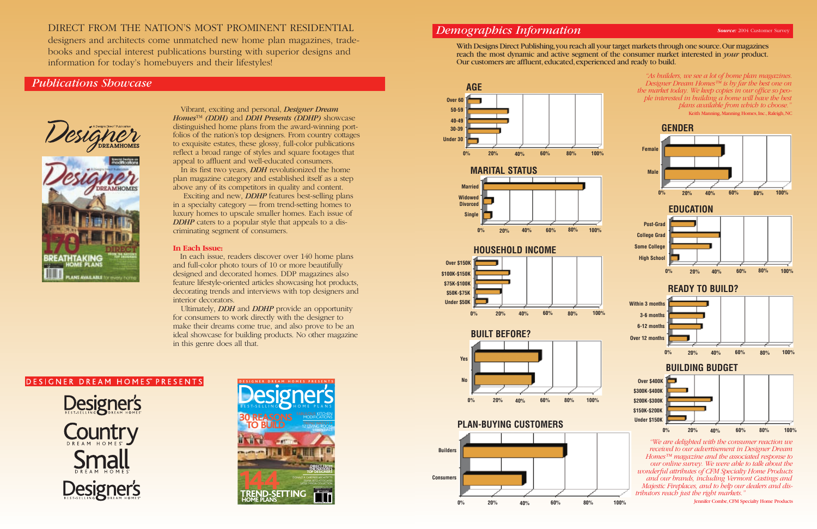### *Demographics Information*

Our customers are affluent, educated, experienced and ready to build.

## With Designs Direct Publishing,you reach all your target markets through one source.Our magazines reach the most dynamic and active segment of the consumer market interested in *your* product.

*"As builders, we see a lot of home plan magazines. Designer Dream Homes™ is by far the best one on the market today. We keep copies in our office so people interested in building a home will have the best plans available from which to choose."*  Keith Manning, Manning Homes, Inc., Raleigh, NC







*received to our advertisement in Designer Dream Homes™ magazine and the associated response to our online survey. We were able to talk about the wonderful attributes of CFM Specialty Home Products and our brands, including Vermont Castings and Majestic Fireplaces, and to help our dealers and distributors reach just the right markets."* 

Jennifer Combe,CFM Specialty Home Products

### DIRECT FROM THE NATION'S MOST PROMINENT RESIDENTIAL

designers and architects come unmatched new home plan magazines, tradebooks and special interest publications bursting with superior designs and information for today's homebuyers and their lifestyles!

### *Publications Showcase*





Vibrant, exciting and personal, *Designer Dream Homes*™ *(DDH)* and *DDH Presents (DDHP)* showcase distinguished home plans from the award-winning portfolios of the nation's top designers. From country cottages to exquisite estates, these glossy, full-color publications reflect a broad range of styles and square footages that appeal to affluent and well-educated consumers.

In its first two years, *DDH* revolutionized the home plan magazine category and established itself as a step above any of its competitors in quality and content.

Exciting and new, *DDHP* features best-selling plans in a specialty category — from trend-setting homes to luxury homes to upscale smaller homes. Each issue of *DDHP* caters to a popular style that appeals to a discriminating segment of consumers.

#### **In Each Issue:**

In each issue, readers discover over 140 home plans and full-color photo tours of 10 or more beautifully designed and decorated homes. DDP magazines also feature lifestyle-oriented articles showcasing hot products, decorating trends and interviews with top designers and interior decorators.

Ultimately, *DDH* and *DDHP* provide an opportunity for consumers to work directly with the designer to make their dreams come true, and also prove to be an ideal showcase for building products. No other magazine in this genre does all that.

### DESIGNER DREAM HOMES<sup>®</sup> PRESENTS